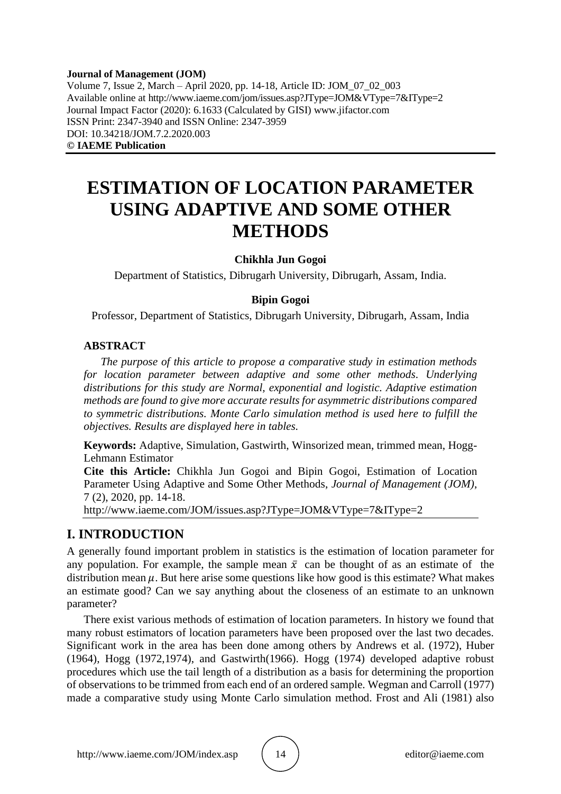#### **Journal of Management (JOM)** Volume 7, Issue 2, March – April 2020, pp. 14-18, Article ID: JOM\_07\_02\_003 Available online at http://www.iaeme.com/jom/issues.asp?JType=JOM&VType=7&IType=2 Journal Impact Factor (2020): 6.1633 (Calculated by GISI) www.jifactor.com ISSN Print: 2347-3940 and ISSN Online: 2347-3959 DOI: 10.34218/JOM.7.2.2020.003 **© IAEME Publication**

# **ESTIMATION OF LOCATION PARAMETER USING ADAPTIVE AND SOME OTHER METHODS**

#### **Chikhla Jun Gogoi**

Department of Statistics, Dibrugarh University, Dibrugarh, Assam, India.

#### **Bipin Gogoi**

Professor, Department of Statistics, Dibrugarh University, Dibrugarh, Assam, India

#### **ABSTRACT**

*The purpose of this article to propose a comparative study in estimation methods for location parameter between adaptive and some other methods. Underlying distributions for this study are Normal, exponential and logistic. Adaptive estimation methods are found to give more accurate results for asymmetric distributions compared to symmetric distributions. Monte Carlo simulation method is used here to fulfill the objectives. Results are displayed here in tables.*

**Keywords:** Adaptive, Simulation, Gastwirth, Winsorized mean, trimmed mean, Hogg-Lehmann Estimator

**Cite this Article:** Chikhla Jun Gogoi and Bipin Gogoi, Estimation of Location Parameter Using Adaptive and Some Other Methods, *Journal of Management (JOM)*, 7 (2), 2020, pp. 14-18.

http://www.iaeme.com/JOM/issues.asp?JType=JOM&VType=7&IType=2

#### **I. INTRODUCTION**

A generally found important problem in statistics is the estimation of location parameter for any population. For example, the sample mean  $\bar{x}$  can be thought of as an estimate of the distribution mean  $\mu$ . But here arise some questions like how good is this estimate? What makes an estimate good? Can we say anything about the closeness of an estimate to an unknown parameter?

There exist various methods of estimation of location parameters. In history we found that many robust estimators of location parameters have been proposed over the last two decades. Significant work in the area has been done among others by Andrews et al. (1972), Huber (1964), Hogg (1972,1974), and Gastwirth(1966). Hogg (1974) developed adaptive robust procedures which use the tail length of a distribution as a basis for determining the proportion of observations to be trimmed from each end of an ordered sample. Wegman and Carroll (1977) made a comparative study using Monte Carlo simulation method. Frost and Ali (1981) also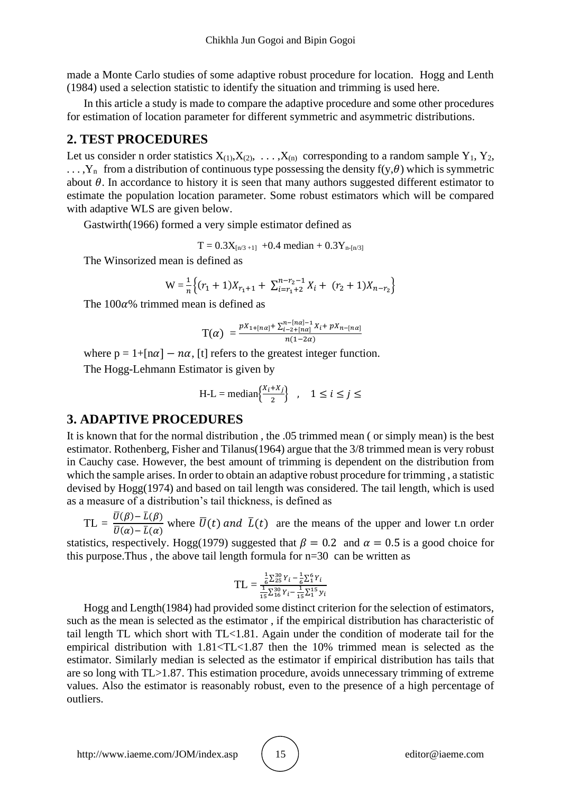made a Monte Carlo studies of some adaptive robust procedure for location. Hogg and Lenth (1984) used a selection statistic to identify the situation and trimming is used here.

In this article a study is made to compare the adaptive procedure and some other procedures for estimation of location parameter for different symmetric and asymmetric distributions.

### **2. TEST PROCEDURES**

Let us consider n order statistics  $X_{(1)}, X_{(2)}, \ldots, X_{(n)}$  corresponding to a random sample  $Y_1, Y_2,$  $\ldots$ , Y<sub>n</sub> from a distribution of continuous type possessing the density f(y,  $\theta$ ) which is symmetric about  $\theta$ . In accordance to history it is seen that many authors suggested different estimator to estimate the population location parameter. Some robust estimators which will be compared with adaptive WLS are given below.

Gastwirth(1966) formed a very simple estimator defined as

 $T = 0.3X_{[n/3 + 1]}$  +0.4 median + 0.3Y<sub>n-[n/3]</sub>

The Winsorized mean is defined as

$$
W = \frac{1}{n} \Big\{ (r_1 + 1)X_{r_1 + 1} + \sum_{i = r_1 + 2}^{n - r_2 - 1} X_i + (r_2 + 1)X_{n - r_2} \Big\}
$$

The  $100\alpha$ % trimmed mean is defined as

$$
\mathcal{T}(\alpha) = \frac{pX_{1+[n\alpha]} + \sum_{i=2+[n\alpha]}^{n-[n\alpha]-1} X_i + pX_{n-[n\alpha]}}{n(1-2\alpha)}
$$

where  $p = 1 + [n\alpha] - n\alpha$ , [t] refers to the greatest integer function.

The Hogg-Lehmann Estimator is given by

$$
H-L = median\left\{\frac{X_i + X_j}{2}\right\}, \quad 1 \le i \le j \le
$$

## **3. ADAPTIVE PROCEDURES**

It is known that for the normal distribution , the .05 trimmed mean ( or simply mean) is the best estimator. Rothenberg, Fisher and Tilanus(1964) argue that the 3/8 trimmed mean is very robust in Cauchy case. However, the best amount of trimming is dependent on the distribution from which the sample arises. In order to obtain an adaptive robust procedure for trimming , a statistic devised by Hogg(1974) and based on tail length was considered. The tail length, which is used as a measure of a distribution's tail thickness, is defined as

 $TL = \frac{\overline{U}(\beta) - \overline{L}(\beta)}{\overline{U}(\beta) - \overline{L}(\beta)}$  $\frac{\partial(\rho) - E(\rho)}{\partial(\alpha) - \bar{L}(\alpha)}$  where  $\bar{U}(t)$  and  $\bar{L}(t)$  are the means of the upper and lower t.n order

statistics, respectively. Hogg(1979) suggested that  $\beta = 0.2$  and  $\alpha = 0.5$  is a good choice for this purpose.Thus , the above tail length formula for n=30 can be written as

$$
TL = \frac{\frac{1}{6}\sum_{25}^{30}Y_i - \frac{1}{6}\sum_{1}^{6}Y_i}{\frac{1}{15}\sum_{16}^{30}Y_i - \frac{1}{15}\sum_{1}^{15}Y_i}
$$

Hogg and Length(1984) had provided some distinct criterion for the selection of estimators, such as the mean is selected as the estimator , if the empirical distribution has characteristic of tail length TL which short with TL<1.81. Again under the condition of moderate tail for the empirical distribution with  $1.81 \times T L \times 1.87$  then the 10% trimmed mean is selected as the estimator. Similarly median is selected as the estimator if empirical distribution has tails that are so long with TL>1.87. This estimation procedure, avoids unnecessary trimming of extreme values. Also the estimator is reasonably robust, even to the presence of a high percentage of outliers.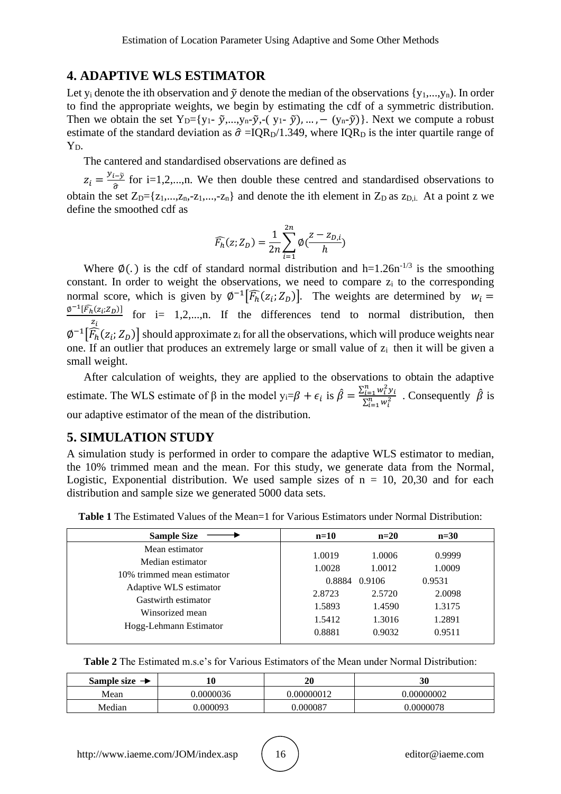# **4. ADAPTIVE WLS ESTIMATOR**

Let  $y_i$  denote the ith observation and  $\tilde{y}$  denote the median of the observations  $\{y_1,...,y_n\}$ . In order to find the appropriate weights, we begin by estimating the cdf of a symmetric distribution. Then we obtain the set  $Y_{D} = \{y_1 - \tilde{y},...,y_n - \tilde{y},-(y_1 - \tilde{y}),...,-(y_n - \tilde{y})\}\$ . Next we compute a robust estimate of the standard deviation as  $\hat{\sigma} = IQR_D/1.349$ , where  $IQR_D$  is the inter quartile range of  $Y_D$ .

The cantered and standardised observations are defined as

 $z_i = \frac{y_{i-\tilde{y}}}{\hat{\sigma}}$  $\frac{f(x)-f(y)}{\hat{\sigma}}$  for i=1,2,...,n. We then double these centred and standardised observations to obtain the set  $Z_D = \{z_1,...,z_n,-z_1,...,-z_n\}$  and denote the ith element in  $Z_D$  as  $z_{D,i}$ . At a point z we define the smoothed cdf as

$$
\widehat{F_h}(z;Z_D) = \frac{1}{2n} \sum_{i=1}^{2n} \emptyset \big( \frac{z - z_{D,i}}{h} \big)
$$

Where  $\phi(.)$  is the cdf of standard normal distribution and h=1.26n<sup>-1/3</sup> is the smoothing constant. In order to weight the observations, we need to compare z<sup>i</sup> to the corresponding normal score, which is given by  $\phi^{-1}[\widehat{F}_h(z_i; Z_D)]$ . The weights are determined by  $w_i =$  $\varnothing^{-1}[\widehat{F_h}(z_i;Z_D)]$  $\frac{\sum_{i} \sum_{i} D_{i}}{z_{i}}$  for i= 1,2,...,n. If the differences tend to normal distribution, then  $\varphi^{-1}[\widehat{F}_h(z_i; Z_D)]$  should approximate  $z_i$  for all the observations, which will produce weights near one. If an outlier that produces an extremely large or small value of  $z_i$  then it will be given a small weight.

After calculation of weights, they are applied to the observations to obtain the adaptive estimate. The WLS estimate of  $\beta$  in the model  $y_i = \beta + \epsilon_i$  is  $\hat{\beta} = \frac{\sum_{i=1}^{n} w_i^2 y_i}{\sum_{i=1}^{n} w_i^2}$  $\frac{\sum_{i=1}^{n} w_i^2 y_i}{\sum_{i=1}^{n} w_i^2}$ . Consequently  $\hat{\beta}$  is our adaptive estimator of the mean of the distribution.

## **5. SIMULATION STUDY**

A simulation study is performed in order to compare the adaptive WLS estimator to median, the 10% trimmed mean and the mean. For this study, we generate data from the Normal, Logistic, Exponential distribution. We used sample sizes of  $n = 10$ , 20,30 and for each distribution and sample size we generated 5000 data sets.

| Mean estimator<br>0.9999<br>1.0006<br>1.0019<br>Median estimator<br>1.0009<br>1.0028<br>1.0012<br>10% trimmed mean estimator<br>0.8884<br>0.9106<br>0.9531<br>Adaptive WLS estimator<br>2.0098<br>2.5720<br>2.8723<br>Gastwirth estimator<br>1.3175<br>1.5893<br>1.4590<br>Winsorized mean<br>1.2891<br>1.5412<br>1.3016<br>Hogg-Lehmann Estimator | <b>Sample Size</b> | $n=10$ | $n=20$ | $n=30$ |  |
|----------------------------------------------------------------------------------------------------------------------------------------------------------------------------------------------------------------------------------------------------------------------------------------------------------------------------------------------------|--------------------|--------|--------|--------|--|
|                                                                                                                                                                                                                                                                                                                                                    |                    | 0.8881 | 0.9032 | 0.9511 |  |

**Table 1** The Estimated Values of the Mean=1 for Various Estimators under Normal Distribution:

**Table 2** The Estimated m.s.e's for Various Estimators of the Mean under Normal Distribution:

| Sample size $\rightarrow$ |           | 20        | 30         |
|---------------------------|-----------|-----------|------------|
| Mean                      | 0.0000036 | .00000012 | 0.00000002 |
| Median                    | .000093   | 7,00008   | .0000078   |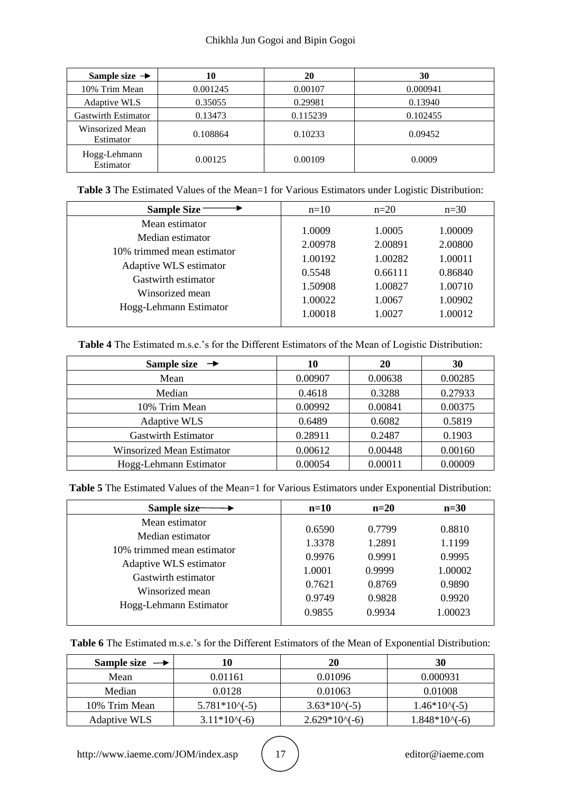| Sample size $\rightarrow$    | 10       | 20       | 30       |
|------------------------------|----------|----------|----------|
| 10% Trim Mean                | 0.001245 | 0.00107  | 0.000941 |
| <b>Adaptive WLS</b>          | 0.35055  | 0.29981  | 0.13940  |
| <b>Gastwirth Estimator</b>   | 0.13473  | 0.115239 | 0.102455 |
| Winsorized Mean<br>Estimator | 0.108864 | 0.10233  | 0.09452  |
| Hogg-Lehmann<br>Estimator    | 0.00125  | 0.00109  | 0.0009   |

**Table 3** The Estimated Values of the Mean=1 for Various Estimators under Logistic Distribution:

| <b>Sample Size</b>         | $n=10$  | $n=20$  | $n=30$  |
|----------------------------|---------|---------|---------|
| Mean estimator             | 1.0009  | 1.0005  | 1.00009 |
| Median estimator           | 2.00978 | 2.00891 | 2.00800 |
| 10% trimmed mean estimator | 1.00192 | 1.00282 | 1.00011 |
| Adaptive WLS estimator     | 0.5548  | 0.66111 | 0.86840 |
| Gastwirth estimator        | 1.50908 | 1.00827 | 1.00710 |
| Winsorized mean            | 1.00022 | 1.0067  | 1.00902 |
| Hogg-Lehmann Estimator     | 1.00018 | 1.0027  | 1.00012 |

**Table 4** The Estimated m.s.e.'s for the Different Estimators of the Mean of Logistic Distribution:

| Sample size $\rightarrow$        | 10      | 20      | 30      |
|----------------------------------|---------|---------|---------|
| Mean                             | 0.00907 | 0.00638 | 0.00285 |
| Median                           | 0.4618  | 0.3288  | 0.27933 |
| 10% Trim Mean                    | 0.00992 | 0.00841 | 0.00375 |
| <b>Adaptive WLS</b>              | 0.6489  | 0.6082  | 0.5819  |
| <b>Gastwirth Estimator</b>       | 0.28911 | 0.2487  | 0.1903  |
| <b>Winsorized Mean Estimator</b> | 0.00612 | 0.00448 | 0.00160 |
| Hogg-Lehmann Estimator           | 0.00054 | 0.00011 | 0.00009 |

**Table 5** The Estimated Values of the Mean=1 for Various Estimators under Exponential Distribution:

| Sample size-               | $n=10$ | $n=20$ | $n=30$  |
|----------------------------|--------|--------|---------|
| Mean estimator             | 0.6590 | 0.7799 | 0.8810  |
| Median estimator           | 1.3378 | 1.2891 | 1.1199  |
| 10% trimmed mean estimator | 0.9976 | 0.9991 | 0.9995  |
| Adaptive WLS estimator     | 1.0001 | 0.9999 | 1.00002 |
| Gastwirth estimator        | 0.7621 | 0.8769 | 0.9890  |
| Winsorized mean            | 0.9749 | 0.9828 | 0.9920  |
| Hogg-Lehmann Estimator     | 0.9855 | 0.9934 | 1.00023 |

| <b>Table 6</b> The Estimated m.s.e.'s for the Different Estimators of the Mean of Exponential Distribution: |
|-------------------------------------------------------------------------------------------------------------|
|-------------------------------------------------------------------------------------------------------------|

| Sample size $\rightarrow$ | LO                | 20             | 30               |
|---------------------------|-------------------|----------------|------------------|
| Mean                      | 0.01161           | 0.01096        | 0.000931         |
| Median                    | 0.0128            | 0.01063        | 0.01008          |
| 10% Trim Mean             | $5.781*10(-5)$    | $3.63*10(-5)$  | $1.46*10\sim(5)$ |
| <b>Adaptive WLS</b>       | $3.11*10\sim(-6)$ | $2.629*10(-6)$ | $1.848*10(-6)$   |